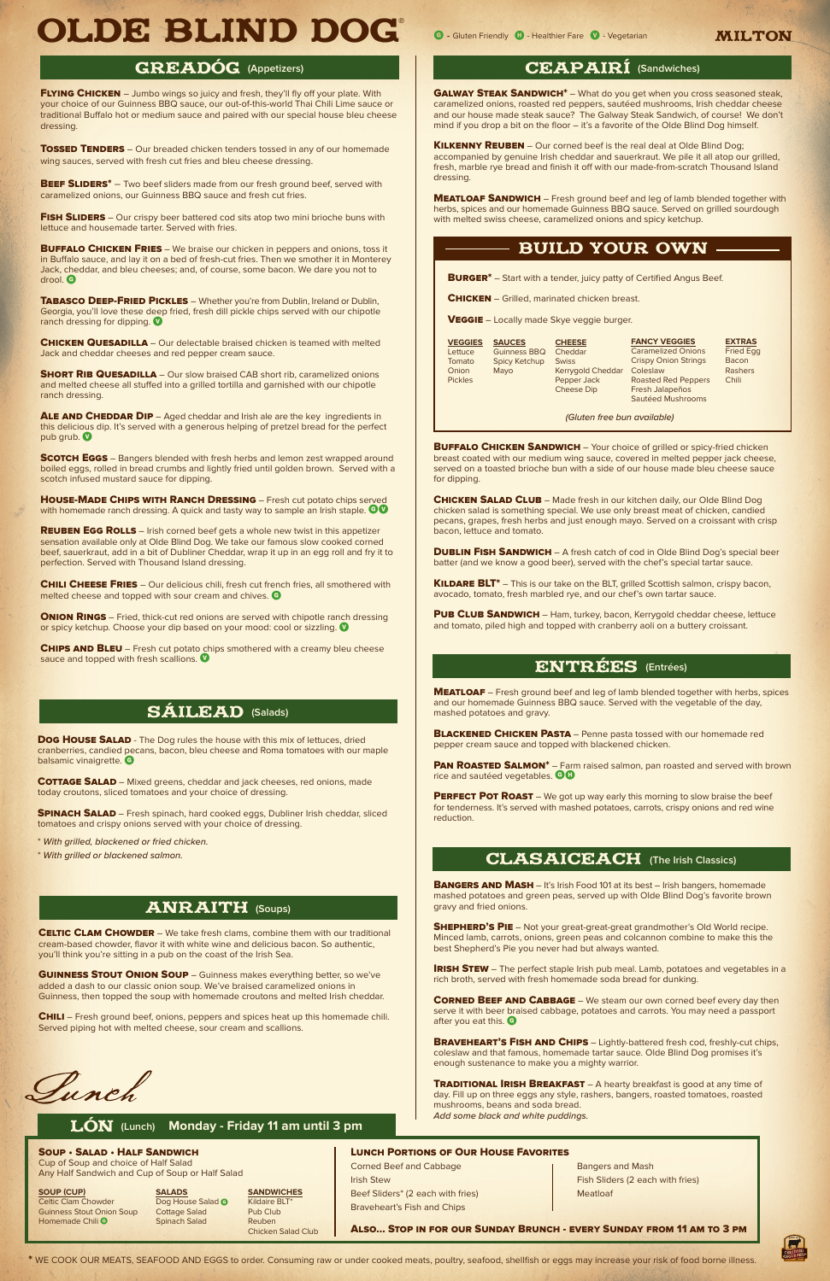FLYING CHICKEN - Jumbo wings so juicy and fresh, they'll fly off your plate. With your choice of our Guinness BBQ sauce, our out-of-this-world Thai Chili Lime sauce or traditional Buffalo hot or medium sauce and paired with our special house bleu cheese dressing.

**TOSSED TENDERS** – Our breaded chicken tenders tossed in any of our homemade wing sauces, served with fresh cut fries and bleu cheese dressing.

**BEEF SLIDERS\*** – Two beef sliders made from our fresh ground beef, served with caramelized onions, our Guinness BBQ sauce and fresh cut fries.

FISH SLIDERS – Our crispy beer battered cod sits atop two mini brioche buns with lettuce and housemade tarter. Served with fries.

**BUFFALO CHICKEN FRIES** – We braise our chicken in peppers and onions, toss it in Buffalo sauce, and lay it on a bed of fresh-cut fries. Then we smother it in Monterey Jack, cheddar, and bleu cheeses; and, of course, some bacon. We dare you not to drool. G

**TABASCO DEEP-FRIED PICKLES** - Whether you're from Dublin, Ireland or Dublin, Georgia, you'll love these deep fried, fresh dill pickle chips served with our chipotle ranch dressing for dipping.

**CHICKEN QUESADILLA** – Our delectable braised chicken is teamed with melted Jack and cheddar cheeses and red pepper cream sauce.

**SHORT RIB QUESADILLA** – Our slow braised CAB short rib, caramelized onions and melted cheese all stuffed into a grilled tortilla and garnished with our chipotle ranch dressing.

ALE AND CHEDDAR DIP - Aged cheddar and Irish ale are the key ingredients in this delicious dip. It's served with a generous helping of pretzel bread for the perfect pub grub.

**SCOTCH EGGS** – Bangers blended with fresh herbs and lemon zest wrapped around boiled eggs, rolled in bread crumbs and lightly fried until golden brown. Served with a scotch infused mustard sauce for dipping.

HOUSE-MADE CHIPS WITH RANCH DRESSING - Fresh cut potato chips served with homemade ranch dressing. A quick and tasty way to sample an Irish staple.  $\bullet\bullet\bullet$ 

**REUBEN EGG ROLLS** – Irish corned beef gets a whole new twist in this appetizer sensation available only at Olde Blind Dog. We take our famous slow cooked corned beef, sauerkraut, add in a bit of Dubliner Cheddar, wrap it up in an egg roll and fry it to perfection. Served with Thousand Island dressing.

**CHILI CHEESE FRIES** – Our delicious chili, fresh cut french fries, all smothered with melted cheese and topped with sour cream and chives. G

**ONION RINGS** – Fried, thick-cut red onions are served with chipotle ranch dressing or spicy ketchup. Choose your dip based on your mood: cool or sizzling.  $\bullet$ 

CHIPS AND BLEU – Fresh cut potato chips smothered with a creamy bleu cheese sauce and topped with fresh scallions.

# **SÁILEAD** (Salads)

**GALWAY STEAK SANDWICH\*** - What do you get when you cross seasoned steak, caramelized onions, roasted red peppers, sautéed mushrooms, Irish cheddar cheese and our house made steak sauce? The Galway Steak Sandwich, of course! We don't mind if you drop a bit on the floor – it's a favorite of the Olde Blind Dog himself.

KILKENNY REUBEN - Our corned beef is the real deal at Olde Blind Dog; accompanied by genuine Irish cheddar and sauerkraut. We pile it all atop our grilled, fresh, marble rye bread and finish it off with our made-from-scratch Thousand Island dressing.

**MEATLOAF SANDWICH** – Fresh ground beef and leg of lamb blended together with herbs, spices and our homemade Guinness BBQ sauce. Served on grilled sourdough with melted swiss cheese, caramelized onions and spicy ketchup.

**BUFFALO CHICKEN SANDWICH** – Your choice of grilled or spicy-fried chicken breast coated with our medium wing sauce, covered in melted pepper jack cheese, served on a toasted brioche bun with a side of our house made bleu cheese sauce for dipping.

**CHICKEN SALAD CLUB** – Made fresh in our kitchen daily, our Olde Blind Dog chicken salad is something special. We use only breast meat of chicken, candied pecans, grapes, fresh herbs and just enough mayo. Served on a croissant with crisp bacon, lettuce and tomato.

**DUBLIN FISH SANDWICH** – A fresh catch of cod in Olde Blind Dog's special beer batter (and we know a good beer), served with the chef's special tartar sauce.

KILDARE BLT<sup>\*</sup> - This is our take on the BLT, grilled Scottish salmon, crispy bacon, avocado, tomato, fresh marbled rye, and our chef's own tartar sauce.

PUB CLUB SANDWICH - Ham, turkey, bacon, Kerrygold cheddar cheese, lettuce and tomato, piled high and topped with cranberry aoli on a buttery croissant.

**MEATLOAF** – Fresh ground beef and leg of lamb blended together with herbs, spices and our homemade Guinness BBQ sauce. Served with the vegetable of the day, mashed potatoes and gravy.

**BLACKENED CHICKEN PASTA** – Penne pasta tossed with our homemade red pepper cream sauce and topped with blackened chicken.

PAN ROASTED SALMON<sup>\*</sup> – Farm raised salmon, pan roasted and served with brown rice and sautéed vegetables. **GO** 

PERFECT POT ROAST – We got up way early this morning to slow braise the beef for tenderness. It's served with mashed potatoes, carrots, crispy onions and red wine reduction.

# **CLASAICEACH** (The Irish Classics)

**BANGERS AND MASH** – It's Irish Food 101 at its best – Irish bangers, homemade mashed potatoes and green peas, served up with Olde Blind Dog's favorite brown gravy and fried onions.

**SHEPHERD'S PIE** - Not your great-great-great grandmother's Old World recipe. Minced lamb, carrots, onions, green peas and colcannon combine to make this the best Shepherd's Pie you never had but always wanted.

**IRISH STEW** – The perfect staple Irish pub meal. Lamb, potatoes and vegetables in a rich broth, served with fresh homemade soda bread for dunking.

**CORNED BEEF AND CABBAGE** – We steam our own corned beef every day then serve it with beer braised cabbage, potatoes and carrots. You may need a passport after you eat this. G

**BRAVEHEART'S FISH AND CHIPS** - Lightly-battered fresh cod, freshly-cut chips, coleslaw and that famous, homemade tartar sauce. Olde Blind Dog promises it's enough sustenance to make you a mighty warrior.

**TRADITIONAL IRISH BREAKFAST** – A hearty breakfast is good at any time of day. Fill up on three eggs any style, rashers, bangers, roasted tomatoes, roasted mushrooms, beans and soda bread. *Add some black and white puddings.*

Dog House SALAD - The Dog rules the house with this mix of lettuces, dried cranberries, candied pecans, bacon, bleu cheese and Roma tomatoes with our maple balsamic vinaigrette. G

*(Gluten free bun available)*

**COTTAGE SALAD** – Mixed greens, cheddar and jack cheeses, red onions, made today croutons, sliced tomatoes and your choice of dressing.

**SPINACH SALAD** – Fresh spinach, hard cooked eggs, Dubliner Irish cheddar, sliced tomatoes and crispy onions served with your choice of dressing.

**GUINNESS STOUT ONION SOUP** - Guinness makes everything better, so we've added a dash to our classic onion soup. We've braised caramelized onions in Guinness, then topped the soup with homemade croutons and melted Irish cheddar.

**CHILI** – Fresh ground beef, onions, peppers and spices heat up this homemade chili. Served piping hot with melted cheese, sour cream and scallions.

Lunch

| <b>SAUCES</b>        | <b>CHEESE</b> | <b>FANCY VEGGIES</b>                                                    | <b>EXTRAS</b>    |
|----------------------|---------------|-------------------------------------------------------------------------|------------------|
| Guinness BBQ         |               | <b>Caramelized Onions</b>                                               | <b>Fried Egg</b> |
| <b>Spicy Ketchup</b> | <b>Swiss</b>  | <b>Crispy Onion Strings</b>                                             | Bacon            |
| Mayo                 |               | Coleslaw                                                                | Rashers          |
|                      |               | <b>Roasted Red Peppers</b>                                              | <b>Chili</b>     |
|                      |               | Fresh Jalapeños                                                         |                  |
|                      |               | Sautéed Mushrooms                                                       |                  |
|                      |               | Cheddar<br><b>Kerrygold Cheddar</b><br>Pepper Jack<br><b>Cheese Dip</b> |                  |

#### Soup • Salad • Half Sandwich

Cup of Soup and choice of Half Salad Any Half Sandwich and Cup of Soup or Half Salad

Celtic Clam Chowder Dog House Salad C Kildaire B<br>
Guinness Stout Onion Soup Cottage Salad Pub Club Guinness Stout Onion Soup Cottage Salad Homemade Chili <sup>G</sup> Spinach Salad Reuben

**SOUP (CUP) SALADS SANDWICHES**<br> **SANDWICHES Celtic Clam Chowder Dog House Salad @** Kildaire BLT\*

Chicken Salad Club

### Lunch Portions of Our House Favorites

Corned Beef and Cabbage **Bangers and Mash** Beef Sliders\* (2 each with fries) Meatloaf

Braveheart's Fish and Chips

**Irish Stew Fish Sliders (2 each with fries) Fish Sliders (2 each with fries)** 

Also... Stop in for our Sunday Brunch - every Sunday from 11 am to 3 pm



\* WE COOK OUR MEATS, SEAFOOD AND EGGS to order. Consuming raw or under cooked meats, poultry, seafood, shellfish or eggs may increase your risk of food borne illness.

\* *With grilled, blackened or fried chicken.*

\* *With grilled or blackened salmon.*

cream-based chowder, flavor it with white wine and delicious bacon. So authentic, you'll think you're sitting in a pub on the coast of the Irish Sea.

# ANRAITH **(Soups)**

**CELTIC CLAM CHOWDER** – We take fresh clams, combine them with our traditional

# GREADÓG (Appetizers) **ceapairí (Sandwiches)** ceapairí (Sandwiches)

# entrées **(Entrées)**

# LóN **(Lunch) Monday - Friday 11 am until 3 pm**

# BUILD YOUR OWN

**BURGER\*** – Start with a tender, juicy patty of Certified Angus Beef.

**CHICKEN** – Grilled, marinated chicken breast.

**VEGGIE** – Locally made Skye veggie burger.

֦

# OLDE BLIND DOG <sup>G</sup> - Gluten Friendly H - Healthier Fare V - Vegetarian milton ®